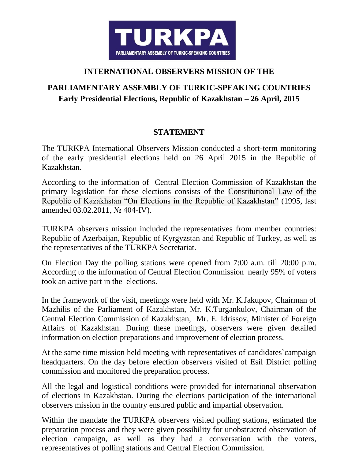

## **INTERNATIONAL OBSERVERS MISSION OF THE**

## **PARLIAMENTARY ASSEMBLY OF TURKIC-SPEAKING COUNTRIES Early Presidential Elections, Republic of Kazakhstan – 26 April, 2015**

## **STATEMENT**

The TURKPA International Observers Mission conducted a short-term monitoring of the early presidential elections held on 26 April 2015 in the Republic of Kazakhstan.

According to the information of Central Election Commission of Kazakhstan the primary legislation for these elections consists of the Constitutional Law of the Republic of Kazakhstan "On Elections in the Republic of Kazakhstan" (1995, last amended 03.02.2011, № 404-IV).

TURKPA observers mission included the representatives from member countries: Republic of Azerbaijan, Republic of Kyrgyzstan and Republic of Turkey, as well as the representatives of the TURKPA Secretariat.

On Election Day the polling stations were opened from 7:00 a.m. till 20:00 p.m. According to the information of Central Election Commission nearly 95% of voters took an active part in the elections.

In the framework of the visit, meetings were held with Mr. K.Jakupov, Chairman of Mazhilis of the Parliament of Kazakhstan, Mr. K.Turgankulov, Chairman of the Central Election Commission of Kazakhstan, Mr. E. Idrissov, Minister of Foreign Affairs of Kazakhstan. During these meetings, observers were given detailed information on election preparations and improvement of election process.

At the same time mission held meeting with representatives of candidates`campaign headquarters. On the day before election observers visited of Esil District polling commission and monitored the preparation process.

All the legal and logistical conditions were provided for international observation of elections in Kazakhstan. During the elections participation of the international observers mission in the country ensured public and impartial observation.

Within the mandate the TURKPA observers visited polling stations, estimated the preparation process and they were given possibility for unobstructed observation of election campaign, as well as they had a conversation with the voters, representatives of polling stations and Central Election Commission.